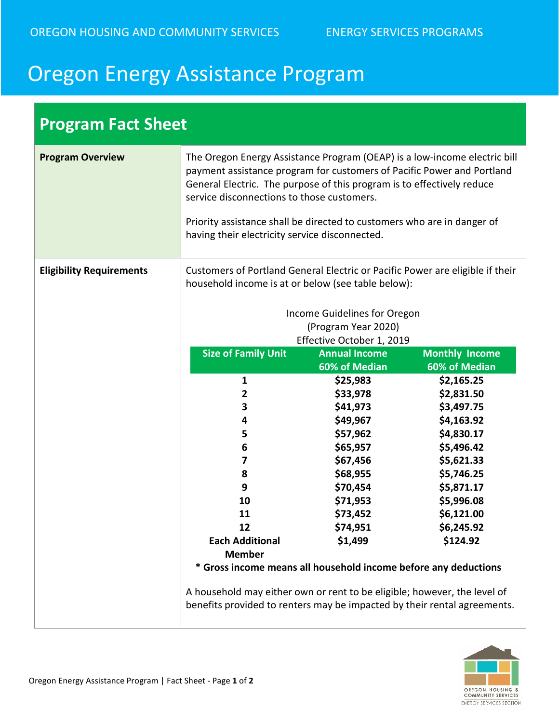## Oregon Energy Assistance Program

| <b>Program Fact Sheet</b>       |                                                                                                                                                                                                                                                                                                                                                                                                                                                                                                        |                                                                                                                                                                                                                                                                                      |                                                                                                                                                                                                                            |
|---------------------------------|--------------------------------------------------------------------------------------------------------------------------------------------------------------------------------------------------------------------------------------------------------------------------------------------------------------------------------------------------------------------------------------------------------------------------------------------------------------------------------------------------------|--------------------------------------------------------------------------------------------------------------------------------------------------------------------------------------------------------------------------------------------------------------------------------------|----------------------------------------------------------------------------------------------------------------------------------------------------------------------------------------------------------------------------|
| <b>Program Overview</b>         | The Oregon Energy Assistance Program (OEAP) is a low-income electric bill<br>payment assistance program for customers of Pacific Power and Portland<br>General Electric. The purpose of this program is to effectively reduce<br>service disconnections to those customers.<br>Priority assistance shall be directed to customers who are in danger of<br>having their electricity service disconnected.                                                                                               |                                                                                                                                                                                                                                                                                      |                                                                                                                                                                                                                            |
| <b>Eligibility Requirements</b> | Customers of Portland General Electric or Pacific Power are eligible if their<br>household income is at or below (see table below):<br><b>Size of Family Unit</b><br>1<br>2<br>3<br>4<br>5<br>6<br>7<br>8<br>9<br>10<br>11<br>12<br><b>Each Additional</b><br><b>Member</b><br>* Gross income means all household income before any deductions<br>A household may either own or rent to be eligible; however, the level of<br>benefits provided to renters may be impacted by their rental agreements. | Income Guidelines for Oregon<br>(Program Year 2020)<br>Effective October 1, 2019<br><b>Annual Income</b><br>60% of Median<br>\$25,983<br>\$33,978<br>\$41,973<br>\$49,967<br>\$57,962<br>\$65,957<br>\$67,456<br>\$68,955<br>\$70,454<br>\$71,953<br>\$73,452<br>\$74,951<br>\$1,499 | <b>Monthly Income</b><br>60% of Median<br>\$2,165.25<br>\$2,831.50<br>\$3,497.75<br>\$4,163.92<br>\$4,830.17<br>\$5,496.42<br>\$5,621.33<br>\$5,746.25<br>\$5,871.17<br>\$5,996.08<br>\$6,121.00<br>\$6,245.92<br>\$124.92 |